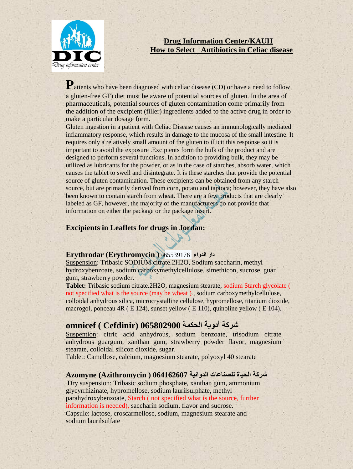

### **Drug Information Center/KAUH How to Select Antibiotics in Celiac disease**

Patients who have been diagnosed with celiac disease (CD) or have a need to follow a gluten-free GF) diet must be aware of potential sources of gluten. In the area of pharmaceuticals, potential sources of gluten contamination come primarily from the addition of the excipient (filler) ingredients added to the active drug in order to make a particular dosage form.

Gluten ingestion in a patient with Celiac Disease causes an immunologically mediated inflammatory response, which results in damage to the mucosa of the small intestine. It requires only a relatively small amount of the gluten to illicit this response so it is important to avoid the exposure .Excipients form the bulk of the product and are designed to perform several functions. In addition to providing bulk, they may be utilized as lubricants for the powder, or as in the case of starches, absorb water, which causes the tablet to swell and disintegrate. It is these starches that provide the potential source of gluten contamination. These excipients can be obtained from any starch source, but are primarily derived from corn, potato and tapioca; however, they have also been known to contain starch from wheat. There are a few products that are clearly labeled as GF, however, the majority of the manufacturers do not provide that information on either the package or the package insert.

### **Excipients in Leaflets for drugs in Jordan:**

### **دار الدواء** 065539176 **( Erythromycin (Erythrodar**

Suspension: Tribasic SODIUM citrate.2H2O, Sodium saccharin, methyl hydroxybenzoate, sodium carboxymethylcellulose, simethicon, sucrose, guar gum, strawberry powder.

**Tablet:** Tribasic sodium citrate.2H2O, magnesium stearate, sodium Starch glycolate ( not specified what is the source (may be wheat ) , sodium carboxymethylcellulose, colloidal anhydrous silica, microcrystalline cellulose, hypromellose, titanium dioxide, macrogol, ponceau 4R ( E 124), sunset yellow ( E 110), quinoline yellow ( E 104).

# **شركة أدوية الحكمة 065802900 (Cefdinir ( omnicef**

Suspention: citric acid anhydrous, sodium benzoate, trisodium citrate anhydrous guargum, xanthan gum, strawberry powder flavor, magnesium stearate, colloidal silicon dioxide, sugar.

Tablet: Camellose, calcium, magnesium stearate, polyoxyl 40 stearate

### **شركة الحياة للصناعات الدوائية 064162607 ( Azithromycin (Azomyne**

Dry suspension: Tribasic sodium phosphate, xanthan gum, ammonium glycyrrhizinate, hypromellose, sodium laurilsulphate, methyl parahydroxybenzoate, Starch ( not specified what is the source, further information is needed), saccharin sodium, flavor and sucrose.

Capsule: lactose, croscarmellose, sodium, magnesium stearate and sodium laurilsulfate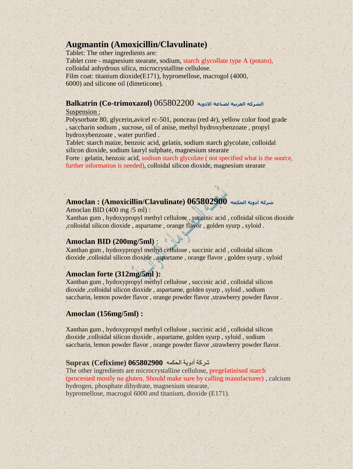# **Augmantin (Amoxicillin/Clavulinate)**

Tablet: The other ingredients are:

Tablet core - magnesium stearate, sodium, starch glycollate type A (potato), colloidal anhydrous silica, microcrystalline cellulose. Film coat: titanium dioxide(E171), hypromellose, macrogol (4000, 6000) and silicone oil (dimeticone).

### **الشركه العربية لصناعة االدوية** 065802200 **(trimoxazol-Co (Balkatrin**

#### Suspension :

Polysorbate 80, glycerin,avicel rc-501, ponceau (red 4r), yellow color food grade , saccharin sodium , sucrose, oil of anise, methyl hydroxybenzoate , propyl hydroxybenzoate , water purified .

Tablet: starch maize, benzoic acid, gelatin, sodium starch glycolate, colloidal silicon dioxide, sodium lauryl sulphate, magnesium stearate

Forte : gelatin, benzoic acid, sodium starch glycolate ( not specified what is the source, further information is needed), colloidal silicon dioxide, magnesium stearate

### **شركة أدوية الحكمه 065802900 (Clavulinate/Amoxicillin (: Amoclan**

Amoclan BID (400 mg /5 ml) :

Xanthan gum , hydoxypropyl methyl cellulose , succinic acid , colloidal silicon dioxide ,colloidal silicon dioxide , aspartame , orange flavor , golden syurp , syloid .

### **Amoclan BID (200mg/5ml)** :

Xanthan gum , hydoxypropyl methyl cellulose , succinic acid , colloidal silicon dioxide ,colloidal silicon dioxide , aspartame , orange flavor , golden syurp , syloid

### **Amoclan forte (312mg/5ml ):**

Xanthan gum , hydoxypropyl methyl cellulose , succinic acid , colloidal silicon dioxide ,colloidal silicon dioxide , aspartame, golden syurp , syloid , sodium saccharin, lemon powder flavor, orange powder flavor, strawberry powder flavor.

### **Amoclan (156mg/5ml) :**

Xanthan gum , hydoxypropyl methyl cellulose , succinic acid , colloidal silicon dioxide ,colloidal silicon dioxide , aspartame, golden syurp , syloid , sodium saccharin, lemon powder flavor, orange powder flavor, strawberry powder flavor.

### شركة أدوية الحكمه **065802900 (Cefixime (Suprax**

The other ingredients are microcrystalline cellulose, pregelatinised starch (processed mostly no gluten. Should make sure by calling manufacturer) , calcium hydrogen, phosphate dihydrate, magnesium stearate, hypromellose, macrogol 6000 and titanium, dioxide (E171).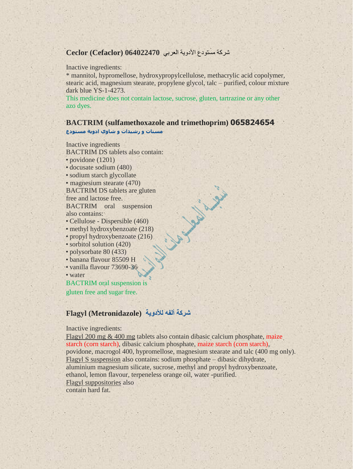### شركة مستىدع األدوية العربي **064022470 (Cefaclor (Ceclor**

#### Inactive ingredients:

\* mannitol, hypromellose, hydroxypropylcellulose, methacrylic acid copolymer, stearic acid, magnesium stearate, propylene glycol, talc – purified, colour mixture dark blue YS-1-4273.

This medicine does not contain lactose, sucrose, gluten, tartrazine or any other azo dyes.

#### **BACTRIM (sulfamethoxazole and trimethoprim) 065824654**

in it

**مسنات و رشيدات و شاوي ادوية مستودع**

Inactive ingredients

BACTRIM DS tablets also contain:

• povidone (1201)

- docusate sodium (480)
- sodium starch glycollate
- magnesium stearate (470)

BACTRIM DS tablets are gluten free and lactose free.

BACTRIM oral suspension also contains:

- Cellulose Dispersible (460)
- methyl hydroxybenzoate (218)
- propyl hydroxybenzoate (216)
- sorbitol solution (420)
- polysorbate 80 (433)
- banana flavour 85509 H
- vanilla flavour 73690-36

• water

BACTRIM oral suspension is gluten free and sugar free.

### **شركة ألفه لألدوية (Metronidazole (Flagyl**

#### Inactive ingredients:

Flagyl 200 mg & 400 mg tablets also contain dibasic calcium phosphate, maize starch (corn starch), dibasic calcium phosphate, maize starch (corn starch), povidone, macrogol 400, hypromellose, magnesium stearate and talc (400 mg only). Flagyl S suspension also contains: sodium phosphate – dibasic dihydrate, aluminium magnesium silicate, sucrose, methyl and propyl hydroxybenzoate, ethanol, lemon flavour, terpeneless orange oil, water -purified. Flagyl suppositories also contain hard fat.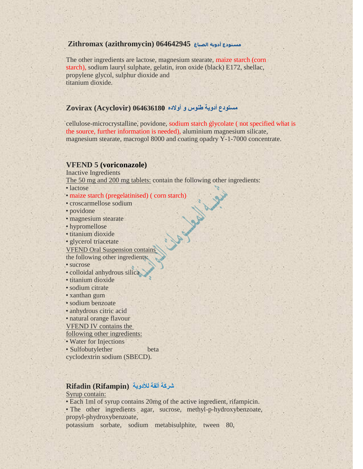#### **مستودع أدوية الصباغ 064642945 (azithromycin (Zithromax**

The other ingredients are lactose, magnesium stearate, maize starch (corn starch), sodium lauryl sulphate, gelatin, iron oxide (black) E172, shellac, propylene glycol, sulphur dioxide and titanium dioxide.

### **مستودع أدوية طنوس و أوالده 064636180 (Acyclovir (Zovirax**

cellulose-microcrystalline, povidone, sodium starch glycolate ( not specified what is the source, further information is needed), aluminium magnesium silicate, magnesium stearate, macrogol 8000 and coating opadry Y-1-7000 concentrate.

#### **VFEND 5 (voriconazole)**

Inactive Ingredients

The 50 mg and 200 mg tablets: contain the following other ingredients:<br>
• lactose<br>
• maize starch (pregelatinised) (corn starch)<br>
• croscarmellose sodium<br>
• povidone<br>
• magnesium stearate<br>
• hypromellose<br>
• titanium dioxid

- lactose
- maize starch (pregelatinised) ( corn starch)
- croscarmellose sodium
- povidone
- magnesium stearate
- hypromellose
- titanium dioxide
- glycerol triacetate

VFEND Oral Suspension contains

the following other ingredients:

- sucrose
- colloidal anhydrous silica
- titanium dioxide
- sodium citrate
- xanthan gum
- sodium benzoate
- anhydrous citric acid
- natural orange flavour

VFEND IV contains the

following other ingredients:

• Water for Injections

• Sulfobutylether beta cyclodextrin sodium (SBECD).

# **شركة ألفة لألدوية (Rifampin (Rifadin**

### Syrup contain:

• Each 1ml of syrup contains 20mg of the active ingredient, rifampicin.

• The other ingredients agar, sucrose, methyl-p-hydroxybenzoate, propyl-phydroxybenzoate,

potassium sorbate, sodium metabisulphite, tween 80,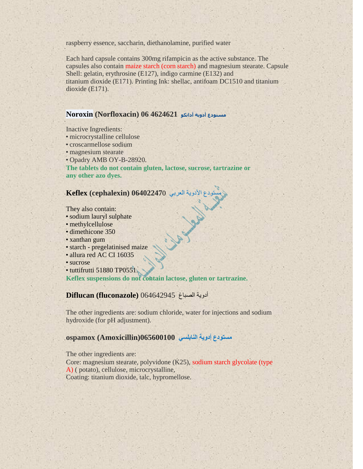raspberry essence, saccharin, diethanolamine, purified water

Each hard capsule contains 300mg rifampicin as the active substance. The capsules also contain maize starch (corn starch) and magnesium stearate. Capsule Shell: gelatin, erythrosine (E127), indigo carmine (E132) and titanium dioxide (E171). Printing Ink: shellac, antifoam DC1510 and titanium dioxide (E171).

### **مستودع أدوية أداتكو 4624621 06 (Norfloxacin (Noroxin**

Inactive Ingredients:

- microcrystalline cellulose
- croscarmellose sodium
- magnesium stearate
- Opadry AMB OY-B-28920.

**The tablets do not contain gluten, lactose, sucrose, tartrazine or any other azo dyes.**

## مستىدع األدوية العربي **06402247**0 **(cephalexin (Keflex**

They also contain:

- sodium lauryl sulphate
- methylcellulose
- dimethicone 350
- xanthan gum
- starch pregelatinised maize
- allura red AC CI 16035
- sucrose
- tuttifrutti 51880 TP0551.

**Keflex suspensions do not contain lactose, gluten or tartrazine.**

أدوية الصباغ 064642945 **(fluconazole (Diflucan**

The other ingredients are: sodium chloride, water for injections and sodium hydroxide (for pH adjustment).

### **مستودع أدوية النابلسي 065600100(Amoxicillin (ospamox**

The other ingredients are: Core: magnesium stearate, polyvidone (K25), sodium starch glycolate (type A) ( potato), cellulose, microcrystalline, Coating: titanium dioxide, talc, hypromellose.